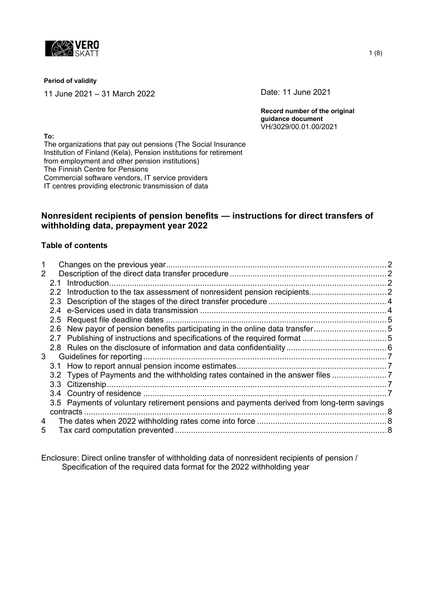

#### **Period of validity**

11 June 2021 – 31 March 2022 Date: 11 June 2021

**Record number of the original guidance document** VH/3029/00.01.00/2021

**To:** The organizations that pay out pensions (The Social Insurance Institution of Finland (Kela), Pension institutions for retirement from employment and other pension institutions) The Finnish Centre for Pensions Commercial software vendors, IT service providers IT centres providing electronic transmission of data

# **Nonresident recipients of pension benefits — instructions for direct transfers of withholding data, prepayment year 2022**

### **Table of contents**

| $\overline{2}$ |  |                                                                                           |  |
|----------------|--|-------------------------------------------------------------------------------------------|--|
|                |  |                                                                                           |  |
|                |  |                                                                                           |  |
|                |  |                                                                                           |  |
|                |  |                                                                                           |  |
|                |  |                                                                                           |  |
|                |  | 2.6 New payor of pension benefits participating in the online data transfer               |  |
|                |  |                                                                                           |  |
|                |  |                                                                                           |  |
| 3              |  |                                                                                           |  |
|                |  |                                                                                           |  |
|                |  | 3.2 Types of Payments and the withholding rates contained in the answer files             |  |
|                |  |                                                                                           |  |
|                |  |                                                                                           |  |
|                |  | 3.5 Payments of voluntary retirement pensions and payments derived from long-term savings |  |
|                |  |                                                                                           |  |
| 4              |  |                                                                                           |  |
| 5              |  |                                                                                           |  |
|                |  |                                                                                           |  |

Enclosure: Direct online transfer of withholding data of nonresident recipients of pension / Specification of the required data format for the 2022 withholding year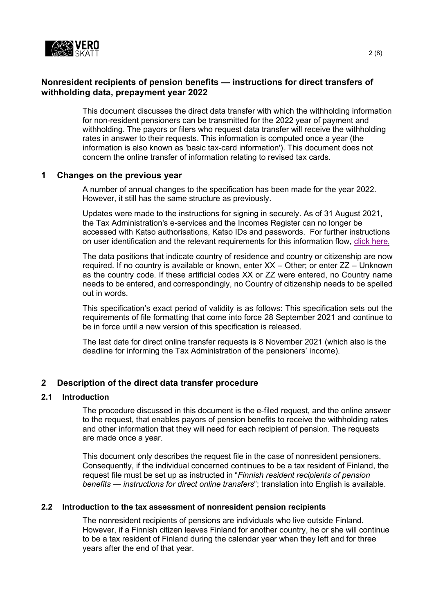

## **Nonresident recipients of pension benefits — instructions for direct transfers of withholding data, prepayment year 2022**

This document discusses the direct data transfer with which the withholding information for non-resident pensioners can be transmitted for the 2022 year of payment and withholding. The payors or filers who request data transfer will receive the withholding rates in answer to their requests. This information is computed once a year (the information is also known as 'basic tax-card information'). This document does not concern the online transfer of information relating to revised tax cards.

### <span id="page-1-0"></span>**1 Changes on the previous year**

A number of annual changes to the specification has been made for the year 2022. However, it still has the same structure as previously.

Updates were made to the instructions for signing in securely. As of 31 August 2021, the Tax Administration's e-services and the Incomes Register can no longer be accessed with Katso authorisations, Katso IDs and passwords. For further instructions on user identification and the relevant requirements for this information flow, [click here](https://www.ilmoitin.fi/webtamo/sivut/IlmoituslajiRoolit;jsessionid=3E2A091D1B46C512726DAD05C4B96D3D?kieli=en).

The data positions that indicate country of residence and country or citizenship are now required. If no country is available or known, enter XX – Other; or enter ZZ – Unknown as the country code. If these artificial codes XX or ZZ were entered, no Country name needs to be entered, and correspondingly, no Country of citizenship needs to be spelled out in words.

This specification's exact period of validity is as follows: This specification sets out the requirements of file formatting that come into force 28 September 2021 and continue to be in force until a new version of this specification is released.

The last date for direct online transfer requests is 8 November 2021 (which also is the deadline for informing the Tax Administration of the pensioners' income).

# <span id="page-1-1"></span>**2 Description of the direct data transfer procedure**

## <span id="page-1-2"></span>**2.1 Introduction**

The procedure discussed in this document is the e-filed request, and the online answer to the request, that enables payors of pension benefits to receive the withholding rates and other information that they will need for each recipient of pension. The requests are made once a year.

This document only describes the request file in the case of nonresident pensioners. Consequently, if the individual concerned continues to be a tax resident of Finland, the request file must be set up as instructed in "*Finnish resident recipients of pension benefits — instructions for direct online transfers*"; translation into English is available.

### <span id="page-1-3"></span>**2.2 Introduction to the tax assessment of nonresident pension recipients**

The nonresident recipients of pensions are individuals who live outside Finland. However, if a Finnish citizen leaves Finland for another country, he or she will continue to be a tax resident of Finland during the calendar year when they left and for three years after the end of that year.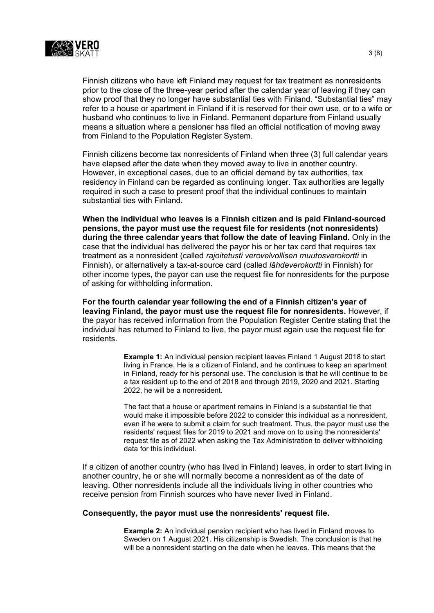

Finnish citizens who have left Finland may request for tax treatment as nonresidents prior to the close of the three-year period after the calendar year of leaving if they can show proof that they no longer have substantial ties with Finland. "Substantial ties" may refer to a house or apartment in Finland if it is reserved for their own use, or to a wife or husband who continues to live in Finland. Permanent departure from Finland usually means a situation where a pensioner has filed an official notification of moving away from Finland to the Population Register System.

Finnish citizens become tax nonresidents of Finland when three (3) full calendar years have elapsed after the date when they moved away to live in another country. However, in exceptional cases, due to an official demand by tax authorities, tax residency in Finland can be regarded as continuing longer. Tax authorities are legally required in such a case to present proof that the individual continues to maintain substantial ties with Finland.

**When the individual who leaves is a Finnish citizen and is paid Finland-sourced pensions, the payor must use the request file for residents (not nonresidents) during the three calendar years that follow the date of leaving Finland.** Only in the case that the individual has delivered the payor his or her tax card that requires tax treatment as a nonresident (called *rajoitetusti verovelvollisen muutosverokortti* in Finnish), or alternatively a tax-at-source card (called *lähdeverokortti* in Finnish) for other income types, the payor can use the request file for nonresidents for the purpose of asking for withholding information.

**For the fourth calendar year following the end of a Finnish citizen's year of leaving Finland, the payor must use the request file for nonresidents.** However, if the payor has received information from the Population Register Centre stating that the individual has returned to Finland to live, the payor must again use the request file for residents.

> **Example 1:** An individual pension recipient leaves Finland 1 August 2018 to start living in France. He is a citizen of Finland, and he continues to keep an apartment in Finland, ready for his personal use. The conclusion is that he will continue to be a tax resident up to the end of 2018 and through 2019, 2020 and 2021. Starting 2022, he will be a nonresident.

> The fact that a house or apartment remains in Finland is a substantial tie that would make it impossible before 2022 to consider this individual as a nonresident, even if he were to submit a claim for such treatment. Thus, the payor must use the residents' request files for 2019 to 2021 and move on to using the nonresidents' request file as of 2022 when asking the Tax Administration to deliver withholding data for this individual.

If a citizen of another country (who has lived in Finland) leaves, in order to start living in another country, he or she will normally become a nonresident as of the date of leaving. Other nonresidents include all the individuals living in other countries who receive pension from Finnish sources who have never lived in Finland.

#### **Consequently, the payor must use the nonresidents' request file.**

**Example 2:** An individual pension recipient who has lived in Finland moves to Sweden on 1 August 2021. His citizenship is Swedish. The conclusion is that he will be a nonresident starting on the date when he leaves. This means that the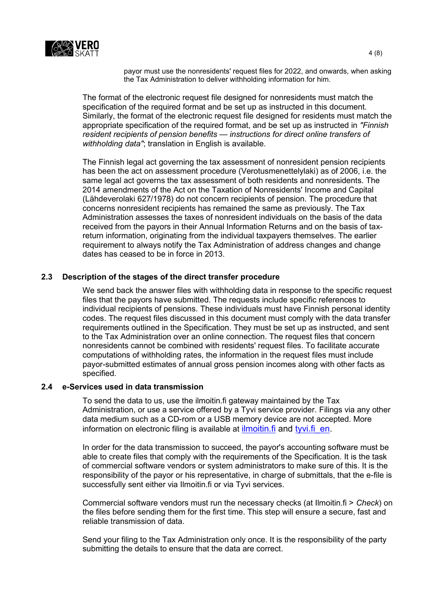

payor must use the nonresidents' request files for 2022, and onwards, when asking the Tax Administration to deliver withholding information for him.

The format of the electronic request file designed for nonresidents must match the specification of the required format and be set up as instructed in this document. Similarly, the format of the electronic request file designed for residents must match the appropriate specification of the required format, and be set up as instructed in *"Finnish resident recipients of pension benefits — instructions for direct online transfers of withholding data"*; translation in English is available.

The Finnish legal act governing the tax assessment of nonresident pension recipients has been the act on assessment procedure (Verotusmenettelylaki) as of 2006, i.e. the same legal act governs the tax assessment of both residents and nonresidents. The 2014 amendments of the Act on the Taxation of Nonresidents' Income and Capital (Lähdeverolaki 627/1978) do not concern recipients of pension. The procedure that concerns nonresident recipients has remained the same as previously. The Tax Administration assesses the taxes of nonresident individuals on the basis of the data received from the payors in their Annual Information Returns and on the basis of taxreturn information, originating from the individual taxpayers themselves. The earlier requirement to always notify the Tax Administration of address changes and change dates has ceased to be in force in 2013.

### <span id="page-3-0"></span>**2.3 Description of the stages of the direct transfer procedure**

We send back the answer files with withholding data in response to the specific request files that the payors have submitted. The requests include specific references to individual recipients of pensions. These individuals must have Finnish personal identity codes. The request files discussed in this document must comply with the data transfer requirements outlined in the Specification. They must be set up as instructed, and sent to the Tax Administration over an online connection. The request files that concern nonresidents cannot be combined with residents' request files. To facilitate accurate computations of withholding rates, the information in the request files must include payor-submitted estimates of annual gross pension incomes along with other facts as specified.

## <span id="page-3-1"></span>**2.4 e-Services used in data transmission**

To send the data to us, use the ilmoitin.fi gateway maintained by the Tax Administration, or use a service offered by a Tyvi service provider. Filings via any other data medium such as a CD-rom or a USB memory device are not accepted. More information on electronic filing is available at [ilmoitin.fi](https://www.vero.fi/en/About-us/information_and_material_on_taxatio/it_developer/) and tyvi.fi en.

In order for the data transmission to succeed, the payor's accounting software must be able to create files that comply with the requirements of the Specification. It is the task of commercial software vendors or system administrators to make sure of this. It is the responsibility of the payor or his representative, in charge of submittals, that the e-file is successfully sent either via Ilmoitin.fi or via Tyvi services.

Commercial software vendors must run the necessary checks (at Ilmoitin.fi > *Check*) on the files before sending them for the first time. This step will ensure a secure, fast and reliable transmission of data.

Send your filing to the Tax Administration only once. It is the responsibility of the party submitting the details to ensure that the data are correct.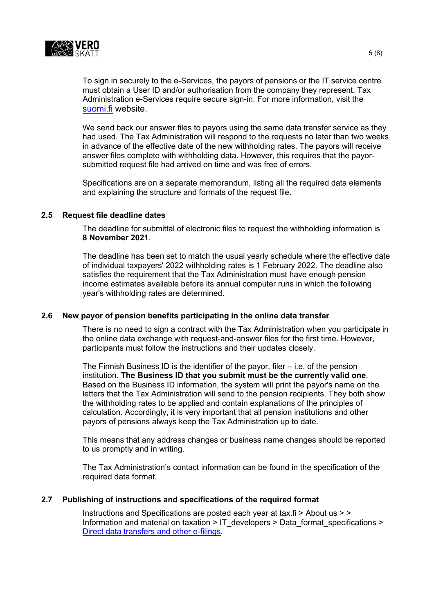

To sign in securely to the e-Services, the payors of pensions or the IT service centre must obtain a User ID and/or authorisation from the company they represent. Tax Administration e-Services require secure sign-in. For more information, visit the [suomi.fi](https://www.suomi.fi/frontpage) website.

We send back our answer files to payors using the same data transfer service as they had used. The Tax Administration will respond to the requests no later than two weeks in advance of the effective date of the new withholding rates. The payors will receive answer files complete with withholding data. However, this requires that the payorsubmitted request file had arrived on time and was free of errors.

Specifications are on a separate memorandum, listing all the required data elements and explaining the structure and formats of the request file.

#### <span id="page-4-0"></span>**2.5 Request file deadline dates**

The deadline for submittal of electronic files to request the withholding information is **8 November 2021**.

The deadline has been set to match the usual yearly schedule where the effective date of individual taxpayers' 2022 withholding rates is 1 February 2022. The deadline also satisfies the requirement that the Tax Administration must have enough pension income estimates available before its annual computer runs in which the following year's withholding rates are determined.

## <span id="page-4-1"></span>**2.6 New payor of pension benefits participating in the online data transfer**

There is no need to sign a contract with the Tax Administration when you participate in the online data exchange with request-and-answer files for the first time. However, participants must follow the instructions and their updates closely.

The Finnish Business ID is the identifier of the payor, filer  $-$  i.e. of the pension institution. **The Business ID that you submit must be the currently valid one**. Based on the Business ID information, the system will print the payor's name on the letters that the Tax Administration will send to the pension recipients. They both show the withholding rates to be applied and contain explanations of the principles of calculation. Accordingly, it is very important that all pension institutions and other payors of pensions always keep the Tax Administration up to date.

This means that any address changes or business name changes should be reported to us promptly and in writing.

The Tax Administration's contact information can be found in the specification of the required data format.

#### <span id="page-4-2"></span>**2.7 Publishing of instructions and specifications of the required format**

Instructions and Specifications are posted each year at tax.fi > About us > > Information and material on taxation > [IT\\_developers](http://www.vero.fi/fi-FI/Syventavat_veroohjeet/Sahkoinen_asiointi/Kehittajat) > [Data\\_format\\_specifications](http://www.vero.fi/fi-FI/Syventavat_veroohjeet/Sahkoinen_asiointi/Kehittajat/Tietuekuvaukset) > [Direct data transfers and other e-filings.](https://www.vero.fi/en/About-us/information_and_material_on_taxatio/it_developer/data-format-specifications/specifications__direct_data_transfers_a/)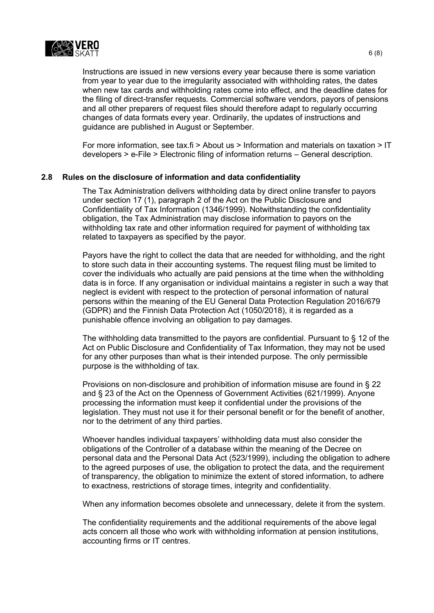

Instructions are issued in new versions every year because there is some variation from year to year due to the irregularity associated with withholding rates, the dates when new tax cards and withholding rates come into effect, and the deadline dates for the filing of direct-transfer requests. Commercial software vendors, payors of pensions and all other preparers of request files should therefore adapt to regularly occurring changes of data formats every year. Ordinarily, the updates of instructions and guidance are published in August or September.

For more information, see tax.fi > About us > Information and materials on taxation > IT developers > e-File > Electronic filing of information returns – General description.

### <span id="page-5-0"></span>**2.8 Rules on the disclosure of information and data confidentiality**

The Tax Administration delivers withholding data by direct online transfer to payors under section 17 (1), paragraph 2 of the Act on the Public Disclosure and Confidentiality of Tax Information (1346/1999). Notwithstanding the confidentiality obligation, the Tax Administration may disclose information to payors on the withholding tax rate and other information required for payment of withholding tax related to taxpayers as specified by the payor.

Payors have the right to collect the data that are needed for withholding, and the right to store such data in their accounting systems. The request filing must be limited to cover the individuals who actually are paid pensions at the time when the withholding data is in force. If any organisation or individual maintains a register in such a way that neglect is evident with respect to the protection of personal information of natural persons within the meaning of the EU General Data Protection Regulation 2016/679 (GDPR) and the Finnish Data Protection Act (1050/2018), it is regarded as a punishable offence involving an obligation to pay damages.

The withholding data transmitted to the payors are confidential. Pursuant to § 12 of the Act on Public Disclosure and Confidentiality of Tax Information, they may not be used for any other purposes than what is their intended purpose. The only permissible purpose is the withholding of tax.

Provisions on non-disclosure and prohibition of information misuse are found in § 22 and § 23 of the Act on the Openness of Government Activities (621/1999). Anyone processing the information must keep it confidential under the provisions of the legislation. They must not use it for their personal benefit or for the benefit of another, nor to the detriment of any third parties.

Whoever handles individual taxpayers' withholding data must also consider the obligations of the Controller of a database within the meaning of the Decree on personal data and the Personal Data Act (523/1999), including the obligation to adhere to the agreed purposes of use, the obligation to protect the data, and the requirement of transparency, the obligation to minimize the extent of stored information, to adhere to exactness, restrictions of storage times, integrity and confidentiality.

When any information becomes obsolete and unnecessary, delete it from the system.

The confidentiality requirements and the additional requirements of the above legal acts concern all those who work with withholding information at pension institutions, accounting firms or IT centres.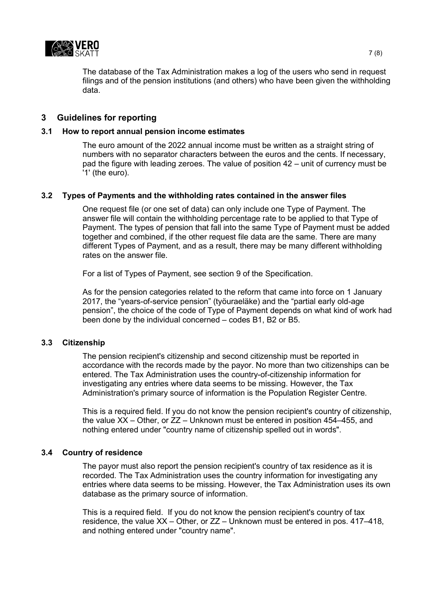

The database of the Tax Administration makes a log of the users who send in request filings and of the pension institutions (and others) who have been given the withholding data.

### <span id="page-6-0"></span>**3 Guidelines for reporting**

#### <span id="page-6-1"></span>**3.1 How to report annual pension income estimates**

The euro amount of the 2022 annual income must be written as a straight string of numbers with no separator characters between the euros and the cents. If necessary, pad the figure with leading zeroes. The value of position 42 – unit of currency must be '1' (the euro).

### <span id="page-6-2"></span>**3.2 Types of Payments and the withholding rates contained in the answer files**

One request file (or one set of data) can only include one Type of Payment. The answer file will contain the withholding percentage rate to be applied to that Type of Payment. The types of pension that fall into the same Type of Payment must be added together and combined, if the other request file data are the same. There are many different Types of Payment, and as a result, there may be many different withholding rates on the answer file.

For a list of Types of Payment, see section 9 of the Specification.

As for the pension categories related to the reform that came into force on 1 January 2017, the "years-of-service pension" (työuraeläke) and the "partial early old-age pension", the choice of the code of Type of Payment depends on what kind of work had been done by the individual concerned – codes B1, B2 or B5.

#### <span id="page-6-3"></span>**3.3 Citizenship**

The pension recipient's citizenship and second citizenship must be reported in accordance with the records made by the payor. No more than two citizenships can be entered. The Tax Administration uses the country-of-citizenship information for investigating any entries where data seems to be missing. However, the Tax Administration's primary source of information is the Population Register Centre.

This is a required field. If you do not know the pension recipient's country of citizenship, the value XX – Other, or ZZ – Unknown must be entered in position 454–455, and nothing entered under "country name of citizenship spelled out in words".

#### <span id="page-6-4"></span>**3.4 Country of residence**

The payor must also report the pension recipient's country of tax residence as it is recorded. The Tax Administration uses the country information for investigating any entries where data seems to be missing. However, the Tax Administration uses its own database as the primary source of information.

This is a required field. If you do not know the pension recipient's country of tax residence, the value XX – Other, or ZZ – Unknown must be entered in pos. 417–418, and nothing entered under "country name".